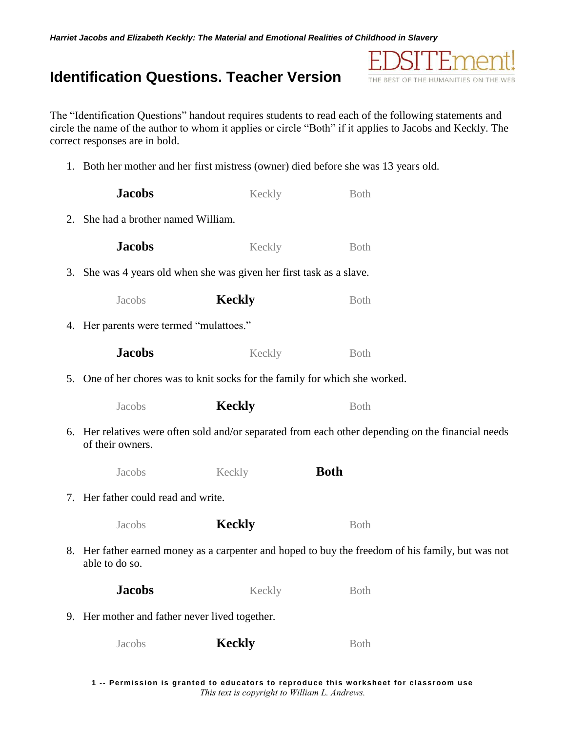*Harriet Jacobs and Elizabeth Keckly: The Material and Emotional Realities of Childhood in Slavery*

## **Identification Questions. Teacher Version**

The "Identification Questions" handout requires students to read each of the following statements and circle the name of the author to whom it applies or circle "Both" if it applies to Jacobs and Keckly. The correct responses are in bold.

1. Both her mother and her first mistress (owner) died before she was 13 years old.

| <b>Jacobs</b>                                                                                                          | Keckly        | <b>Both</b> |  |  |
|------------------------------------------------------------------------------------------------------------------------|---------------|-------------|--|--|
| 2. She had a brother named William.                                                                                    |               |             |  |  |
| <b>Jacobs</b>                                                                                                          | Keckly        | <b>Both</b> |  |  |
| 3. She was 4 years old when she was given her first task as a slave.                                                   |               |             |  |  |
| Jacobs                                                                                                                 | <b>Keckly</b> | <b>Both</b> |  |  |
| 4. Her parents were termed "mulattoes."                                                                                |               |             |  |  |
| <b>Jacobs</b>                                                                                                          | Keckly        | <b>Both</b> |  |  |
| 5. One of her chores was to knit socks for the family for which she worked.                                            |               |             |  |  |
| Jacobs                                                                                                                 | <b>Keckly</b> | <b>Both</b> |  |  |
| 6. Her relatives were often sold and/or separated from each other depending on the financial needs<br>of their owners. |               |             |  |  |
| Jacobs                                                                                                                 | Keckly        | <b>Both</b> |  |  |
| 7. Her father could read and write.                                                                                    |               |             |  |  |
| Jacobs                                                                                                                 | <b>Keckly</b> | Both        |  |  |
| 8. Her father earned money as a carpenter and hoped to buy the freedom of his family, but was not<br>able to do so.    |               |             |  |  |
| <b>Jacobs</b>                                                                                                          | Keckly        | <b>Both</b> |  |  |
| 9. Her mother and father never lived together.                                                                         |               |             |  |  |
| Jacobs                                                                                                                 | <b>Keckly</b> | <b>Both</b> |  |  |

HΥ

THE BEST OF THE HUMANITIES ON THE WEB

זמו

**1 -- Permission is granted to educators to reproduce thi s worksheet for classroom use** *This text is copyright to William L. Andrews.*